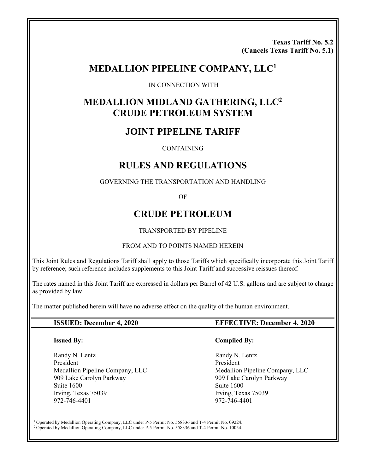**Texas Tariff No. 5.2 (Cancels Texas Tariff No. 5.1)** 

# **MEDALLION PIPELINE COMPANY, LLC1**

IN CONNECTION WITH

# **MEDALLION MIDLAND GATHERING, LLC2 CRUDE PETROLEUM SYSTEM**

# **JOINT PIPELINE TARIFF**

CONTAINING

# **RULES AND REGULATIONS**

GOVERNING THE TRANSPORTATION AND HANDLING

OF

# **CRUDE PETROLEUM**

#### TRANSPORTED BY PIPELINE

#### FROM AND TO POINTS NAMED HEREIN

This Joint Rules and Regulations Tariff shall apply to those Tariffs which specifically incorporate this Joint Tariff by reference; such reference includes supplements to this Joint Tariff and successive reissues thereof.

The rates named in this Joint Tariff are expressed in dollars per Barrel of 42 U.S. gallons and are subject to change as provided by law.

The matter published herein will have no adverse effect on the quality of the human environment.

#### **Issued By:**

Randy N. Lentz President Medallion Pipeline Company, LLC 909 Lake Carolyn Parkway Suite 1600 Irving, Texas 75039 972-746-4401

#### **ISSUED: December 4, 2020 EFFECTIVE: December 4, 2020**

#### **Compiled By:**

Randy N. Lentz President Medallion Pipeline Company, LLC 909 Lake Carolyn Parkway Suite 1600 Irving, Texas 75039 972-746-4401

<sup>1</sup> Operated by Medallion Operating Company, LLC under P-5 Permit No. 558336 and T-4 Permit No. 09224.<br><sup>2</sup> Operated by Medallion Operating Company, LLC under P-5 Permit No. 558336 and T-4 Permit No. 10054.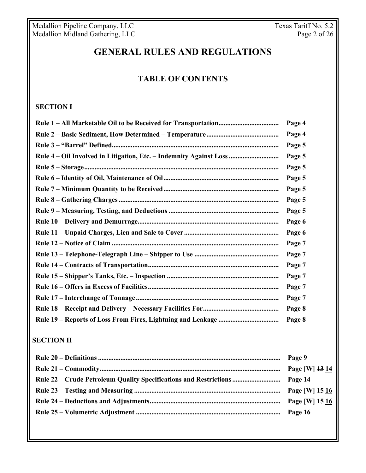Medallion Pipeline Company, LLC Texas Tariff No. 5.2 Medallion Midland Gathering, LLC Page 2 of 26

# **GENERAL RULES AND REGULATIONS**

### **TABLE OF CONTENTS**

### **SECTION I**

|                                                                    | Page 4         |
|--------------------------------------------------------------------|----------------|
|                                                                    | Page 4         |
|                                                                    | Page 5         |
| Rule 4 – Oil Involved in Litigation, Etc. – Indemnity Against Loss | Page 5         |
|                                                                    | Page 5         |
|                                                                    | Page 5         |
|                                                                    | Page 5         |
|                                                                    | Page 5         |
|                                                                    | Page 5         |
|                                                                    | Page 6         |
|                                                                    | Page 6         |
|                                                                    | Page 7         |
|                                                                    | Page 7         |
|                                                                    | Page 7         |
|                                                                    | Page 7         |
|                                                                    | Page 7         |
|                                                                    | Page 7         |
|                                                                    | Page 8         |
|                                                                    | Page 8         |
| <b>SECTION II</b>                                                  |                |
|                                                                    | Page 9         |
|                                                                    | Page [W] 13 14 |

**Rule 22 – Crude Petroleum Quality Specifications and Restrictions ............................ Page 14** 

**Rule 25 – Volumetric Adjustment .................................................................................... Page 16** 

**Rule 23 – Testing and Measuring ..................................................................................... Page [W] 15 16 Rule 24 – Deductions and Adjustments ............................................................................ Page [W] 15 16**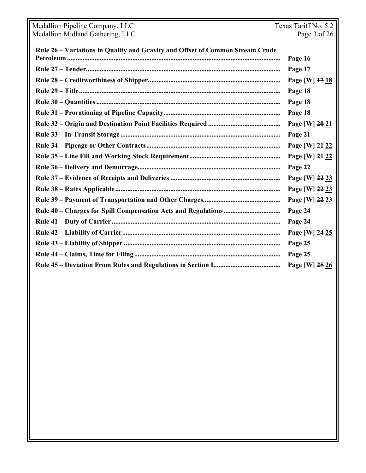| Medallion Pipeline Company, LLC                                               | Texas Tariff No. 5.2 |  |
|-------------------------------------------------------------------------------|----------------------|--|
| Medallion Midland Gathering, LLC                                              | Page 3 of 26         |  |
| Rule 26 - Variations in Quality and Gravity and Offset of Common Stream Crude |                      |  |
|                                                                               | Page 16              |  |
|                                                                               | Page 17              |  |
|                                                                               | Page [W] 17 18       |  |
|                                                                               | Page 18              |  |
|                                                                               | Page 18              |  |
|                                                                               | Page 18              |  |
|                                                                               | Page [W] 20 21       |  |
|                                                                               | Page 21              |  |
|                                                                               | Page [W] 24 22       |  |
|                                                                               | Page [W] 24 22       |  |
|                                                                               | Page 22              |  |
|                                                                               |                      |  |
|                                                                               | Page [W] 22 23       |  |
|                                                                               | Page [W] 22 23       |  |
|                                                                               | Page [W] 22 23       |  |
|                                                                               | Page 24              |  |
|                                                                               | Page 24              |  |
|                                                                               | Page [W] 24 25       |  |
|                                                                               | Page 25              |  |
|                                                                               | Page 25              |  |
|                                                                               | Page [W] 25 26       |  |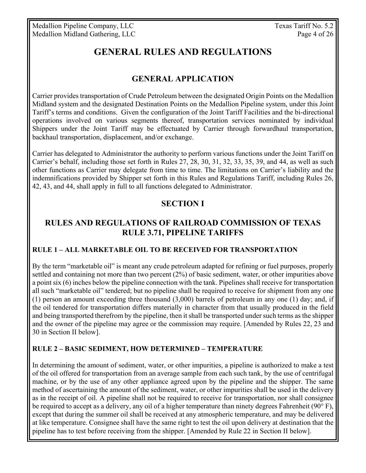Medallion Pipeline Company, LLC Texas Tariff No. 5.2 Medallion Midland Gathering, LLC Page 4 of 26

# **GENERAL RULES AND REGULATIONS**

# **GENERAL APPLICATION**

Carrier provides transportation of Crude Petroleum between the designated Origin Points on the Medallion Midland system and the designated Destination Points on the Medallion Pipeline system, under this Joint Tariff's terms and conditions. Given the configuration of the Joint Tariff Facilities and the bi-directional operations involved on various segments thereof, transportation services nominated by individual Shippers under the Joint Tariff may be effectuated by Carrier through forwardhaul transportation, backhaul transportation, displacement, and/or exchange.

Carrier has delegated to Administrator the authority to perform various functions under the Joint Tariff on Carrier's behalf, including those set forth in Rules 27, 28, 30, 31, 32, 33, 35, 39, and 44, as well as such other functions as Carrier may delegate from time to time. The limitations on Carrier's liability and the indemnifications provided by Shipper set forth in this Rules and Regulations Tariff, including Rules 26, 42, 43, and 44, shall apply in full to all functions delegated to Administrator.

### **SECTION I**

# **RULES AND REGULATIONS OF RAILROAD COMMISSION OF TEXAS RULE 3.71, PIPELINE TARIFFS**

### **RULE 1 – ALL MARKETABLE OIL TO BE RECEIVED FOR TRANSPORTATION**

By the term "marketable oil" is meant any crude petroleum adapted for refining or fuel purposes, properly settled and containing not more than two percent  $(2%)$  of basic sediment, water, or other impurities above a point six (6) inches below the pipeline connection with the tank. Pipelines shall receive for transportation all such "marketable oil" tendered; but no pipeline shall be required to receive for shipment from any one (1) person an amount exceeding three thousand (3,000) barrels of petroleum in any one (1) day; and, if the oil tendered for transportation differs materially in character from that usually produced in the field and being transported therefrom by the pipeline, then it shall be transported under such terms as the shipper and the owner of the pipeline may agree or the commission may require. [Amended by Rules 22, 23 and 30 in Section II below].

### **RULE 2 – BASIC SEDIMENT, HOW DETERMINED – TEMPERATURE**

In determining the amount of sediment, water, or other impurities, a pipeline is authorized to make a test of the oil offered for transportation from an average sample from each such tank, by the use of centrifugal machine, or by the use of any other appliance agreed upon by the pipeline and the shipper. The same method of ascertaining the amount of the sediment, water, or other impurities shall be used in the delivery as in the receipt of oil. A pipeline shall not be required to receive for transportation, nor shall consignee be required to accept as a delivery, any oil of a higher temperature than ninety degrees Fahrenheit (90 $\degree$ F), except that during the summer oil shall be received at any atmospheric temperature, and may be delivered at like temperature. Consignee shall have the same right to test the oil upon delivery at destination that the pipeline has to test before receiving from the shipper. [Amended by Rule 22 in Section II below].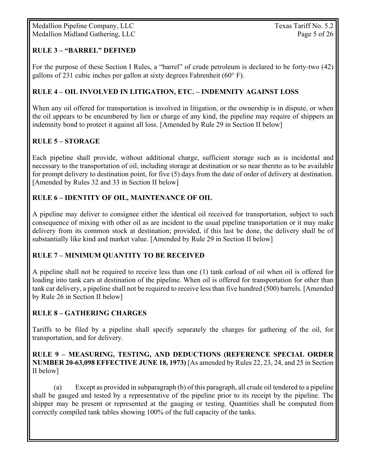### **RULE 3 – "BARREL" DEFINED**

For the purpose of these Section I Rules, a "barrel" of crude petroleum is declared to be forty-two (42) gallons of 231 cubic inches per gallon at sixty degrees Fahrenheit ( $60^{\circ}$  F).

### **RULE 4 – OIL INVOLVED IN LITIGATION, ETC. – INDEMNITY AGAINST LOSS**

When any oil offered for transportation is involved in litigation, or the ownership is in dispute, or when the oil appears to be encumbered by lien or charge of any kind, the pipeline may require of shippers an indemnity bond to protect it against all loss. [Amended by Rule 29 in Section II below]

### **RULE 5 – STORAGE**

Each pipeline shall provide, without additional charge, sufficient storage such as is incidental and necessary to the transportation of oil, including storage at destination or so near thereto as to be available for prompt delivery to destination point, for five (5) days from the date of order of delivery at destination. [Amended by Rules 32 and 33 in Section II below]

### **RULE 6 – IDENTITY OF OIL, MAINTENANCE OF OIL**

A pipeline may deliver to consignee either the identical oil received for transportation, subject to such consequence of mixing with other oil as are incident to the usual pipeline transportation or it may make delivery from its common stock at destination; provided, if this last be done, the delivery shall be of substantially like kind and market value. [Amended by Rule 29 in Section II below]

### **RULE 7 – MINIMUM QUANTITY TO BE RECEIVED**

A pipeline shall not be required to receive less than one (1) tank carload of oil when oil is offered for loading into tank cars at destination of the pipeline. When oil is offered for transportation for other than tank car delivery, a pipeline shall not be required to receive less than five hundred (500) barrels. [Amended by Rule 26 in Section II below]

### **RULE 8 – GATHERING CHARGES**

Tariffs to be filed by a pipeline shall specify separately the charges for gathering of the oil, for transportation, and for delivery.

### **RULE 9 – MEASURING, TESTING, AND DEDUCTIONS (REFERENCE SPECIAL ORDER NUMBER 20-63,098 EFFECTIVE JUNE 18, 1973)** [As amended by Rules 22, 23, 24, and 25 in Section II below]

(a) Except as provided in subparagraph (b) of this paragraph, all crude oil tendered to a pipeline shall be gauged and tested by a representative of the pipeline prior to its receipt by the pipeline. The shipper may be present or represented at the gauging or testing. Quantities shall be computed from correctly compiled tank tables showing 100% of the full capacity of the tanks.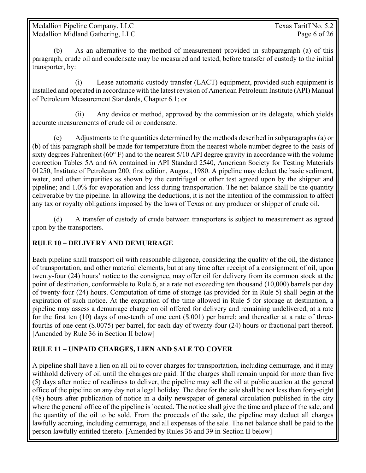Medallion Pipeline Company, LLC Texas Tariff No. 5.2 Medallion Midland Gathering, LLC Page 6 of 26

(b) As an alternative to the method of measurement provided in subparagraph (a) of this paragraph, crude oil and condensate may be measured and tested, before transfer of custody to the initial transporter, by:

 (i) Lease automatic custody transfer (LACT) equipment, provided such equipment is installed and operated in accordance with the latest revision of American Petroleum Institute (API) Manual of Petroleum Measurement Standards, Chapter 6.1; or

 (ii) Any device or method, approved by the commission or its delegate, which yields accurate measurements of crude oil or condensate.

(c) Adjustments to the quantities determined by the methods described in subparagraphs (a) or (b) of this paragraph shall be made for temperature from the nearest whole number degree to the basis of sixty degrees Fahrenheit (60° F) and to the nearest 5/10 API degree gravity in accordance with the volume correction Tables 5A and 6A contained in API Standard 2540, American Society for Testing Materials 01250, Institute of Petroleum 200, first edition, August, 1980. A pipeline may deduct the basic sediment, water, and other impurities as shown by the centrifugal or other test agreed upon by the shipper and pipeline; and 1.0% for evaporation and loss during transportation. The net balance shall be the quantity deliverable by the pipeline. In allowing the deductions, it is not the intention of the commission to affect any tax or royalty obligations imposed by the laws of Texas on any producer or shipper of crude oil.

(d) A transfer of custody of crude between transporters is subject to measurement as agreed upon by the transporters.

### **RULE 10 – DELIVERY AND DEMURRAGE**

Each pipeline shall transport oil with reasonable diligence, considering the quality of the oil, the distance of transportation, and other material elements, but at any time after receipt of a consignment of oil, upon twenty-four (24) hours' notice to the consignee, may offer oil for delivery from its common stock at the point of destination, conformable to Rule 6, at a rate not exceeding ten thousand (10,000) barrels per day of twenty-four (24) hours. Computation of time of storage (as provided for in Rule 5) shall begin at the expiration of such notice. At the expiration of the time allowed in Rule 5 for storage at destination, a pipeline may assess a demurrage charge on oil offered for delivery and remaining undelivered, at a rate for the first ten (10) days of one-tenth of one cent (\$.001) per barrel; and thereafter at a rate of threefourths of one cent (\$.0075) per barrel, for each day of twenty-four (24) hours or fractional part thereof. [Amended by Rule 36 in Section II below]

### **RULE 11 – UNPAID CHARGES, LIEN AND SALE TO COVER**

A pipeline shall have a lien on all oil to cover charges for transportation, including demurrage, and it may withhold delivery of oil until the charges are paid. If the charges shall remain unpaid for more than five (5) days after notice of readiness to deliver, the pipeline may sell the oil at public auction at the general office of the pipeline on any day not a legal holiday. The date for the sale shall be not less than forty-eight (48) hours after publication of notice in a daily newspaper of general circulation published in the city where the general office of the pipeline is located. The notice shall give the time and place of the sale, and the quantity of the oil to be sold. From the proceeds of the sale, the pipeline may deduct all charges lawfully accruing, including demurrage, and all expenses of the sale. The net balance shall be paid to the person lawfully entitled thereto. [Amended by Rules 36 and 39 in Section II below]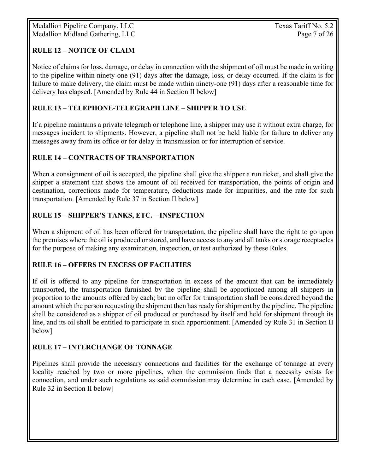Medallion Pipeline Company, LLC Texas Tariff No. 5.2 Medallion Midland Gathering, LLC Page 7 of 26

### **RULE 12 – NOTICE OF CLAIM**

Notice of claims for loss, damage, or delay in connection with the shipment of oil must be made in writing to the pipeline within ninety-one (91) days after the damage, loss, or delay occurred. If the claim is for failure to make delivery, the claim must be made within ninety-one (91) days after a reasonable time for delivery has elapsed. [Amended by Rule 44 in Section II below]

### **RULE 13 – TELEPHONE-TELEGRAPH LINE – SHIPPER TO USE**

If a pipeline maintains a private telegraph or telephone line, a shipper may use it without extra charge, for messages incident to shipments. However, a pipeline shall not be held liable for failure to deliver any messages away from its office or for delay in transmission or for interruption of service.

### **RULE 14 – CONTRACTS OF TRANSPORTATION**

When a consignment of oil is accepted, the pipeline shall give the shipper a run ticket, and shall give the shipper a statement that shows the amount of oil received for transportation, the points of origin and destination, corrections made for temperature, deductions made for impurities, and the rate for such transportation. [Amended by Rule 37 in Section II below]

### **RULE 15 – SHIPPER'S TANKS, ETC. – INSPECTION**

When a shipment of oil has been offered for transportation, the pipeline shall have the right to go upon the premises where the oil is produced or stored, and have access to any and all tanks or storage receptacles for the purpose of making any examination, inspection, or test authorized by these Rules.

### **RULE 16 – OFFERS IN EXCESS OF FACILITIES**

If oil is offered to any pipeline for transportation in excess of the amount that can be immediately transported, the transportation furnished by the pipeline shall be apportioned among all shippers in proportion to the amounts offered by each; but no offer for transportation shall be considered beyond the amount which the person requesting the shipment then has ready for shipment by the pipeline. The pipeline shall be considered as a shipper of oil produced or purchased by itself and held for shipment through its line, and its oil shall be entitled to participate in such apportionment. [Amended by Rule 31 in Section II below]

### **RULE 17 – INTERCHANGE OF TONNAGE**

Pipelines shall provide the necessary connections and facilities for the exchange of tonnage at every locality reached by two or more pipelines, when the commission finds that a necessity exists for connection, and under such regulations as said commission may determine in each case. [Amended by Rule 32 in Section II below]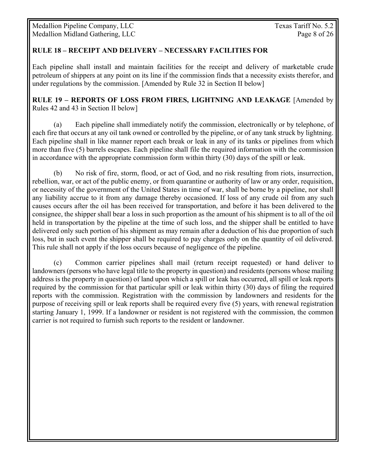Medallion Pipeline Company, LLC Texas Tariff No. 5.2 Medallion Midland Gathering, LLC Page 8 of 26

### **RULE 18 – RECEIPT AND DELIVERY – NECESSARY FACILITIES FOR**

Each pipeline shall install and maintain facilities for the receipt and delivery of marketable crude petroleum of shippers at any point on its line if the commission finds that a necessity exists therefor, and under regulations by the commission. [Amended by Rule 32 in Section II below]

**RULE 19 – REPORTS OF LOSS FROM FIRES, LIGHTNING AND LEAKAGE** [Amended by Rules 42 and 43 in Section II below]

(a) Each pipeline shall immediately notify the commission, electronically or by telephone, of each fire that occurs at any oil tank owned or controlled by the pipeline, or of any tank struck by lightning. Each pipeline shall in like manner report each break or leak in any of its tanks or pipelines from which more than five (5) barrels escapes. Each pipeline shall file the required information with the commission in accordance with the appropriate commission form within thirty (30) days of the spill or leak.

(b) No risk of fire, storm, flood, or act of God, and no risk resulting from riots, insurrection, rebellion, war, or act of the public enemy, or from quarantine or authority of law or any order, requisition, or necessity of the government of the United States in time of war, shall be borne by a pipeline, nor shall any liability accrue to it from any damage thereby occasioned. If loss of any crude oil from any such causes occurs after the oil has been received for transportation, and before it has been delivered to the consignee, the shipper shall bear a loss in such proportion as the amount of his shipment is to all of the oil held in transportation by the pipeline at the time of such loss, and the shipper shall be entitled to have delivered only such portion of his shipment as may remain after a deduction of his due proportion of such loss, but in such event the shipper shall be required to pay charges only on the quantity of oil delivered. This rule shall not apply if the loss occurs because of negligence of the pipeline.

(c) Common carrier pipelines shall mail (return receipt requested) or hand deliver to landowners (persons who have legal title to the property in question) and residents (persons whose mailing address is the property in question) of land upon which a spill or leak has occurred, all spill or leak reports required by the commission for that particular spill or leak within thirty (30) days of filing the required reports with the commission. Registration with the commission by landowners and residents for the purpose of receiving spill or leak reports shall be required every five (5) years, with renewal registration starting January 1, 1999. If a landowner or resident is not registered with the commission, the common carrier is not required to furnish such reports to the resident or landowner.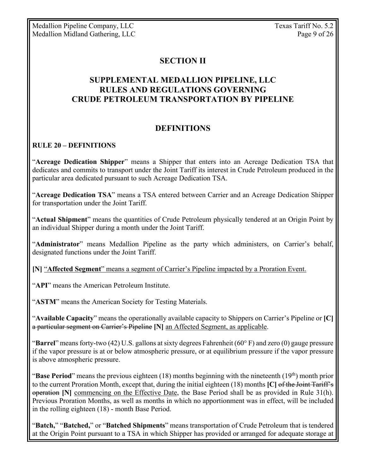# **SECTION II**

# **SUPPLEMENTAL MEDALLION PIPELINE, LLC RULES AND REGULATIONS GOVERNING CRUDE PETROLEUM TRANSPORTATION BY PIPELINE**

### **DEFINITIONS**

### **RULE 20 – DEFINITIONS**

"**Acreage Dedication Shipper**" means a Shipper that enters into an Acreage Dedication TSA that dedicates and commits to transport under the Joint Tariff its interest in Crude Petroleum produced in the particular area dedicated pursuant to such Acreage Dedication TSA.

"**Acreage Dedication TSA**" means a TSA entered between Carrier and an Acreage Dedication Shipper for transportation under the Joint Tariff.

"**Actual Shipment**" means the quantities of Crude Petroleum physically tendered at an Origin Point by an individual Shipper during a month under the Joint Tariff.

"**Administrator**" means Medallion Pipeline as the party which administers, on Carrier's behalf, designated functions under the Joint Tariff.

**[N]** "**Affected Segment**" means a segment of Carrier's Pipeline impacted by a Proration Event.

"**API**" means the American Petroleum Institute.

"**ASTM**" means the American Society for Testing Materials.

"**Available Capacity**" means the operationally available capacity to Shippers on Carrier's Pipeline or **[C]** a particular segment on Carrier's Pipeline **[N]** an Affected Segment, as applicable.

"**Barrel**" means forty-two (42) U.S. gallons at sixty degrees Fahrenheit (60° F) and zero (0) gauge pressure if the vapor pressure is at or below atmospheric pressure, or at equilibrium pressure if the vapor pressure is above atmospheric pressure.

"**Base Period**" means the previous eighteen (18) months beginning with the nineteenth (19<sup>th</sup>) month prior to the current Proration Month, except that, during the initial eighteen (18) months **[C]** of the Joint Tariff's operation **[N]** commencing on the Effective Date, the Base Period shall be as provided in Rule 31(h). Previous Proration Months, as well as months in which no apportionment was in effect, will be included in the rolling eighteen (18) - month Base Period.

"**Batch,**" "**Batched,**" or "**Batched Shipments**" means transportation of Crude Petroleum that is tendered at the Origin Point pursuant to a TSA in which Shipper has provided or arranged for adequate storage at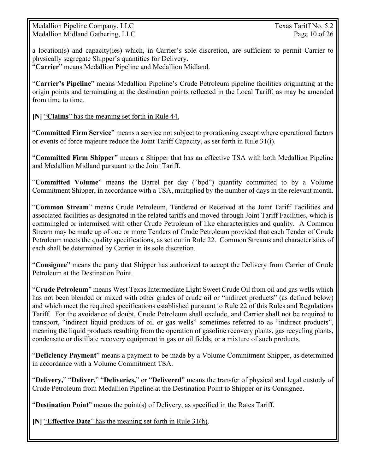Medallion Pipeline Company, LLC Texas Tariff No. 5.2 Medallion Midland Gathering, LLC Page 10 of 26

a location(s) and capacity(ies) which, in Carrier's sole discretion, are sufficient to permit Carrier to physically segregate Shipper's quantities for Delivery. "**Carrier**" means Medallion Pipeline and Medallion Midland.

"**Carrier's Pipeline**" means Medallion Pipeline's Crude Petroleum pipeline facilities originating at the origin points and terminating at the destination points reflected in the Local Tariff, as may be amended from time to time.

**[N]** "**Claims**" has the meaning set forth in Rule 44.

"**Committed Firm Service**" means a service not subject to prorationing except where operational factors or events of force majeure reduce the Joint Tariff Capacity, as set forth in Rule 31(i).

"**Committed Firm Shipper**" means a Shipper that has an effective TSA with both Medallion Pipeline and Medallion Midland pursuant to the Joint Tariff.

"**Committed Volume**" means the Barrel per day ("bpd") quantity committed to by a Volume Commitment Shipper, in accordance with a TSA, multiplied by the number of days in the relevant month.

"**Common Stream**" means Crude Petroleum, Tendered or Received at the Joint Tariff Facilities and associated facilities as designated in the related tariffs and moved through Joint Tariff Facilities, which is commingled or intermixed with other Crude Petroleum of like characteristics and quality. A Common Stream may be made up of one or more Tenders of Crude Petroleum provided that each Tender of Crude Petroleum meets the quality specifications, as set out in Rule 22. Common Streams and characteristics of each shall be determined by Carrier in its sole discretion.

"**Consignee**" means the party that Shipper has authorized to accept the Delivery from Carrier of Crude Petroleum at the Destination Point.

"**Crude Petroleum**" means West Texas Intermediate Light Sweet Crude Oil from oil and gas wells which has not been blended or mixed with other grades of crude oil or "indirect products" (as defined below) and which meet the required specifications established pursuant to Rule 22 of this Rules and Regulations Tariff. For the avoidance of doubt, Crude Petroleum shall exclude, and Carrier shall not be required to transport, "indirect liquid products of oil or gas wells" sometimes referred to as "indirect products", meaning the liquid products resulting from the operation of gasoline recovery plants, gas recycling plants, condensate or distillate recovery equipment in gas or oil fields, or a mixture of such products.

"**Deficiency Payment**" means a payment to be made by a Volume Commitment Shipper, as determined in accordance with a Volume Commitment TSA.

"**Delivery,**" "**Deliver,**" "**Deliveries,**" or "**Delivered**" means the transfer of physical and legal custody of Crude Petroleum from Medallion Pipeline at the Destination Point to Shipper or its Consignee.

"**Destination Point**" means the point(s) of Delivery, as specified in the Rates Tariff.

**[N]** "**Effective Date**" has the meaning set forth in Rule 31(h).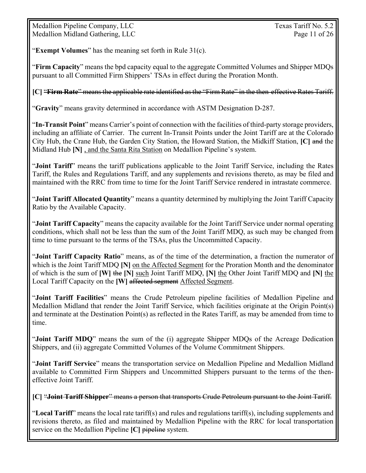Medallion Pipeline Company, LLC Texas Tariff No. 5.2 Medallion Midland Gathering, LLC Page 11 of 26

"**Exempt Volumes**" has the meaning set forth in Rule 31(c).

"**Firm Capacity**" means the bpd capacity equal to the aggregate Committed Volumes and Shipper MDQs pursuant to all Committed Firm Shippers' TSAs in effect during the Proration Month.

**[C]** "**Firm Rate**" means the applicable rate identified as the "Firm Rate" in the then-effective Rates Tariff.

"**Gravity**" means gravity determined in accordance with ASTM Designation D-287.

"**In-Transit Point**" means Carrier's point of connection with the facilities of third-party storage providers, including an affiliate of Carrier. The current In-Transit Points under the Joint Tariff are at the Colorado City Hub, the Crane Hub, the Garden City Station, the Howard Station, the Midkiff Station, **[C]** and the Midland Hub **[N]** , and the Santa Rita Station on Medallion Pipeline's system.

"**Joint Tariff**" means the tariff publications applicable to the Joint Tariff Service, including the Rates Tariff, the Rules and Regulations Tariff, and any supplements and revisions thereto, as may be filed and maintained with the RRC from time to time for the Joint Tariff Service rendered in intrastate commerce.

"**Joint Tariff Allocated Quantity**" means a quantity determined by multiplying the Joint Tariff Capacity Ratio by the Available Capacity.

"**Joint Tariff Capacity**" means the capacity available for the Joint Tariff Service under normal operating conditions, which shall not be less than the sum of the Joint Tariff MDQ, as such may be changed from time to time pursuant to the terms of the TSAs, plus the Uncommitted Capacity.

"**Joint Tariff Capacity Ratio**" means, as of the time of the determination, a fraction the numerator of which is the Joint Tariff MDQ **[N]** on the Affected Segment for the Proration Month and the denominator of which is the sum of **[W]** the **[N]** such Joint Tariff MDQ, **[N]** the Other Joint Tariff MDQ and **[N]** the Local Tariff Capacity on the **[W]** affected segment Affected Segment.

"**Joint Tariff Facilities**" means the Crude Petroleum pipeline facilities of Medallion Pipeline and Medallion Midland that render the Joint Tariff Service, which facilities originate at the Origin Point(s) and terminate at the Destination Point(s) as reflected in the Rates Tariff, as may be amended from time to time.

"**Joint Tariff MDQ**" means the sum of the (i) aggregate Shipper MDQs of the Acreage Dedication Shippers, and (ii) aggregate Committed Volumes of the Volume Commitment Shippers.

"**Joint Tariff Service**" means the transportation service on Medallion Pipeline and Medallion Midland available to Committed Firm Shippers and Uncommitted Shippers pursuant to the terms of the theneffective Joint Tariff.

**[C]** "**Joint Tariff Shipper**" means a person that transports Crude Petroleum pursuant to the Joint Tariff.

"**Local Tariff**" means the local rate tariff(s) and rules and regulations tariff(s), including supplements and revisions thereto, as filed and maintained by Medallion Pipeline with the RRC for local transportation service on the Medallion Pipeline **[C]** pipeline system.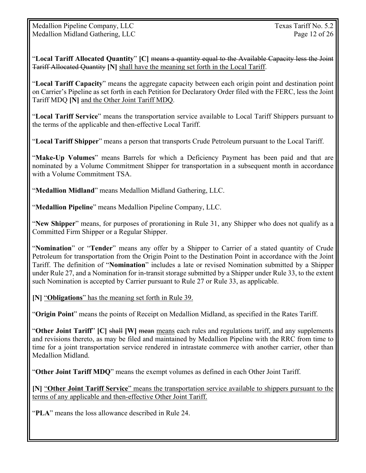"**Local Tariff Allocated Quantity**" **[C]** means a quantity equal to the Available Capacity less the Joint Tariff Allocated Quantity **[N]** shall have the meaning set forth in the Local Tariff.

"**Local Tariff Capacity**" means the aggregate capacity between each origin point and destination point on Carrier's Pipeline as set forth in each Petition for Declaratory Order filed with the FERC, less the Joint Tariff MDQ **[N]** and the Other Joint Tariff MDQ.

"**Local Tariff Service**" means the transportation service available to Local Tariff Shippers pursuant to the terms of the applicable and then-effective Local Tariff.

"**Local Tariff Shipper**" means a person that transports Crude Petroleum pursuant to the Local Tariff.

"**Make-Up Volumes**" means Barrels for which a Deficiency Payment has been paid and that are nominated by a Volume Commitment Shipper for transportation in a subsequent month in accordance with a Volume Commitment TSA.

"**Medallion Midland**" means Medallion Midland Gathering, LLC.

"**Medallion Pipeline**" means Medallion Pipeline Company, LLC.

"**New Shipper**" means, for purposes of prorationing in Rule 31, any Shipper who does not qualify as a Committed Firm Shipper or a Regular Shipper.

"**Nomination**" or "**Tender**" means any offer by a Shipper to Carrier of a stated quantity of Crude Petroleum for transportation from the Origin Point to the Destination Point in accordance with the Joint Tariff. The definition of "**Nomination**" includes a late or revised Nomination submitted by a Shipper under Rule 27, and a Nomination for in-transit storage submitted by a Shipper under Rule 33, to the extent such Nomination is accepted by Carrier pursuant to Rule 27 or Rule 33, as applicable.

**[N]** "**Obligations**" has the meaning set forth in Rule 39.

"**Origin Point**" means the points of Receipt on Medallion Midland, as specified in the Rates Tariff.

"**Other Joint Tariff**" **[C]** shall **[W]** mean means each rules and regulations tariff, and any supplements and revisions thereto, as may be filed and maintained by Medallion Pipeline with the RRC from time to time for a joint transportation service rendered in intrastate commerce with another carrier, other than Medallion Midland.

"**Other Joint Tariff MDQ**" means the exempt volumes as defined in each Other Joint Tariff.

**[N]** "**Other Joint Tariff Service**" means the transportation service available to shippers pursuant to the terms of any applicable and then-effective Other Joint Tariff.

"**PLA**" means the loss allowance described in Rule 24.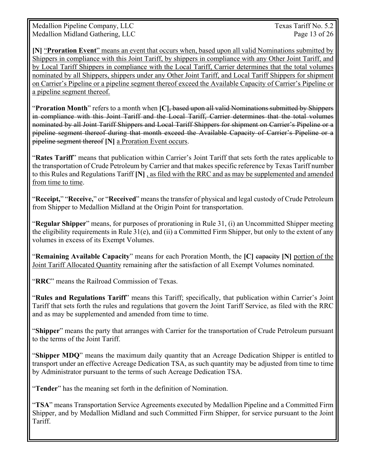Medallion Pipeline Company, LLC Texas Tariff No. 5.2 Medallion Midland Gathering, LLC Page 13 of 26

**[N]** "**Proration Event**" means an event that occurs when, based upon all valid Nominations submitted by Shippers in compliance with this Joint Tariff, by shippers in compliance with any Other Joint Tariff, and by Local Tariff Shippers in compliance with the Local Tariff, Carrier determines that the total volumes nominated by all Shippers, shippers under any Other Joint Tariff, and Local Tariff Shippers for shipment on Carrier's Pipeline or a pipeline segment thereof exceed the Available Capacity of Carrier's Pipeline or a pipeline segment thereof.

"**Proration Month**" refers to a month when **[C]**, based upon all valid Nominations submitted by Shippers in compliance with this Joint Tariff and the Local Tariff, Carrier determines that the total volumes nominated by all Joint Tariff Shippers and Local Tariff Shippers for shipment on Carrier's Pipeline or a pipeline segment thereof during that month exceed the Available Capacity of Carrier's Pipeline or a pipeline segment thereof **[N]** a Proration Event occurs.

"**Rates Tariff**" means that publication within Carrier's Joint Tariff that sets forth the rates applicable to the transportation of Crude Petroleum by Carrier and that makes specific reference by Texas Tariff number to this Rules and Regulations Tariff **[N]** , as filed with the RRC and as may be supplemented and amended from time to time.

"**Receipt,**" "**Receive,**" or "**Received**" means the transfer of physical and legal custody of Crude Petroleum from Shipper to Medallion Midland at the Origin Point for transportation.

"**Regular Shipper**" means, for purposes of prorationing in Rule 31, (i) an Uncommitted Shipper meeting the eligibility requirements in Rule 31(e), and (ii) a Committed Firm Shipper, but only to the extent of any volumes in excess of its Exempt Volumes.

"**Remaining Available Capacity**" means for each Proration Month, the **[C]** capacity **[N]** portion of the Joint Tariff Allocated Quantity remaining after the satisfaction of all Exempt Volumes nominated.

"**RRC**" means the Railroad Commission of Texas.

"**Rules and Regulations Tariff**" means this Tariff; specifically, that publication within Carrier's Joint Tariff that sets forth the rules and regulations that govern the Joint Tariff Service, as filed with the RRC and as may be supplemented and amended from time to time.

"**Shipper**" means the party that arranges with Carrier for the transportation of Crude Petroleum pursuant to the terms of the Joint Tariff.

"**Shipper MDQ**" means the maximum daily quantity that an Acreage Dedication Shipper is entitled to transport under an effective Acreage Dedication TSA, as such quantity may be adjusted from time to time by Administrator pursuant to the terms of such Acreage Dedication TSA.

"**Tender**" has the meaning set forth in the definition of Nomination.

"**TSA**" means Transportation Service Agreements executed by Medallion Pipeline and a Committed Firm Shipper, and by Medallion Midland and such Committed Firm Shipper, for service pursuant to the Joint Tariff.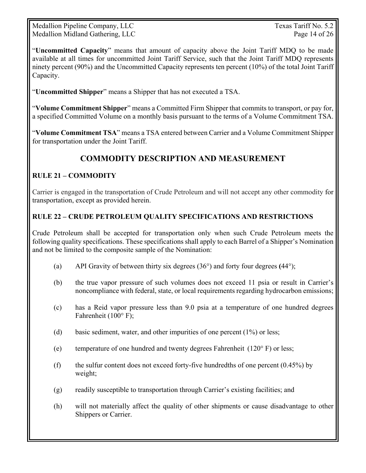Medallion Pipeline Company, LLC Texas Tariff No. 5.2 Medallion Midland Gathering, LLC Page 14 of 26

"**Uncommitted Capacity**" means that amount of capacity above the Joint Tariff MDQ to be made available at all times for uncommitted Joint Tariff Service, such that the Joint Tariff MDQ represents ninety percent (90%) and the Uncommitted Capacity represents ten percent (10%) of the total Joint Tariff Capacity.

"**Uncommitted Shipper**" means a Shipper that has not executed a TSA.

"**Volume Commitment Shipper**" means a Committed Firm Shipper that commits to transport, or pay for, a specified Committed Volume on a monthly basis pursuant to the terms of a Volume Commitment TSA.

"**Volume Commitment TSA**" means a TSA entered between Carrier and a Volume Commitment Shipper for transportation under the Joint Tariff.

# **COMMODITY DESCRIPTION AND MEASUREMENT**

### **RULE 21 – COMMODITY**

Carrier is engaged in the transportation of Crude Petroleum and will not accept any other commodity for transportation, except as provided herein.

### **RULE 22 – CRUDE PETROLEUM QUALITY SPECIFICATIONS AND RESTRICTIONS**

Crude Petroleum shall be accepted for transportation only when such Crude Petroleum meets the following quality specifications. These specifications shall apply to each Barrel of a Shipper's Nomination and not be limited to the composite sample of the Nomination:

- (a) API Gravity of between thirty six degrees (36°) and forty four degrees **(**44°);
- (b) the true vapor pressure of such volumes does not exceed 11 psia or result in Carrier's noncompliance with federal, state, or local requirements regarding hydrocarbon emissions;
- (c) has a Reid vapor pressure less than 9.0 psia at a temperature of one hundred degrees Fahrenheit (100° F);
- (d) basic sediment, water, and other impurities of one percent (1%) or less;
- (e) temperature of one hundred and twenty degrees Fahrenheit ( $120^{\circ}$  F) or less;
- (f) the sulfur content does not exceed forty-five hundredths of one percent  $(0.45\%)$  by weight;
- (g) readily susceptible to transportation through Carrier's existing facilities; and
- (h) will not materially affect the quality of other shipments or cause disadvantage to other Shippers or Carrier.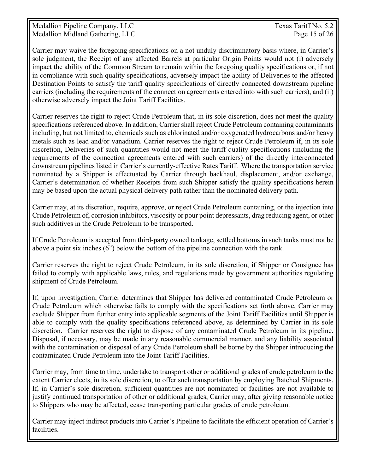Medallion Pipeline Company, LLC Texas Tariff No. 5.2 Medallion Midland Gathering, LLC Page 15 of 26

Carrier may waive the foregoing specifications on a not unduly discriminatory basis where, in Carrier's sole judgment, the Receipt of any affected Barrels at particular Origin Points would not (i) adversely impact the ability of the Common Stream to remain within the foregoing quality specifications or, if not in compliance with such quality specifications, adversely impact the ability of Deliveries to the affected Destination Points to satisfy the tariff quality specifications of directly connected downstream pipeline carriers (including the requirements of the connection agreements entered into with such carriers), and (ii) otherwise adversely impact the Joint Tariff Facilities.

Carrier reserves the right to reject Crude Petroleum that, in its sole discretion, does not meet the quality specifications referenced above. In addition, Carrier shall reject Crude Petroleum containing contaminants including, but not limited to, chemicals such as chlorinated and/or oxygenated hydrocarbons and/or heavy metals such as lead and/or vanadium. Carrier reserves the right to reject Crude Petroleum if, in its sole discretion, Deliveries of such quantities would not meet the tariff quality specifications (including the requirements of the connection agreements entered with such carriers) of the directly interconnected downstream pipelines listed in Carrier's currently-effective Rates Tariff. Where the transportation service nominated by a Shipper is effectuated by Carrier through backhaul, displacement, and/or exchange, Carrier's determination of whether Receipts from such Shipper satisfy the quality specifications herein may be based upon the actual physical delivery path rather than the nominated delivery path.

Carrier may, at its discretion, require, approve, or reject Crude Petroleum containing, or the injection into Crude Petroleum of, corrosion inhibitors, viscosity or pour point depressants, drag reducing agent, or other such additives in the Crude Petroleum to be transported.

If Crude Petroleum is accepted from third-party owned tankage, settled bottoms in such tanks must not be above a point six inches (6") below the bottom of the pipeline connection with the tank.

Carrier reserves the right to reject Crude Petroleum, in its sole discretion, if Shipper or Consignee has failed to comply with applicable laws, rules, and regulations made by government authorities regulating shipment of Crude Petroleum.

If, upon investigation, Carrier determines that Shipper has delivered contaminated Crude Petroleum or Crude Petroleum which otherwise fails to comply with the specifications set forth above, Carrier may exclude Shipper from further entry into applicable segments of the Joint Tariff Facilities until Shipper is able to comply with the quality specifications referenced above, as determined by Carrier in its sole discretion. Carrier reserves the right to dispose of any contaminated Crude Petroleum in its pipeline. Disposal, if necessary, may be made in any reasonable commercial manner, and any liability associated with the contamination or disposal of any Crude Petroleum shall be borne by the Shipper introducing the contaminated Crude Petroleum into the Joint Tariff Facilities.

Carrier may, from time to time, undertake to transport other or additional grades of crude petroleum to the extent Carrier elects, in its sole discretion, to offer such transportation by employing Batched Shipments. If, in Carrier's sole discretion, sufficient quantities are not nominated or facilities are not available to justify continued transportation of other or additional grades, Carrier may, after giving reasonable notice to Shippers who may be affected, cease transporting particular grades of crude petroleum.

Carrier may inject indirect products into Carrier's Pipeline to facilitate the efficient operation of Carrier's facilities.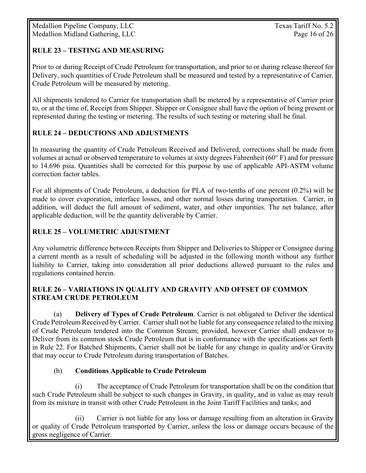### **RULE 23 – TESTING AND MEASURING**

Prior to or during Receipt of Crude Petroleum for transportation, and prior to or during release thereof for Delivery, such quantities of Crude Petroleum shall be measured and tested by a representative of Carrier. Crude Petroleum will be measured by metering.

All shipments tendered to Carrier for transportation shall be metered by a representative of Carrier prior to, or at the time of, Receipt from Shipper. Shipper or Consignee shall have the option of being present or represented during the testing or metering. The results of such testing or metering shall be final.

### **RULE 24 – DEDUCTIONS AND ADJUSTMENTS**

In measuring the quantity of Crude Petroleum Received and Delivered, corrections shall be made from volumes at actual or observed temperature to volumes at sixty degrees Fahrenheit (60° F) and for pressure to 14.696 psia. Quantities shall be corrected for this purpose by use of applicable API-ASTM volume correction factor tables.

For all shipments of Crude Petroleum, a deduction for PLA of two-tenths of one percent (0.2%) will be made to cover evaporation, interface losses, and other normal losses during transportation. Carrier, in addition, will deduct the full amount of sediment, water, and other impurities. The net balance, after applicable deduction, will be the quantity deliverable by Carrier.

### **RULE 25 – VOLUMETRIC ADJUSTMENT**

Any volumetric difference between Receipts from Shipper and Deliveries to Shipper or Consignee during a current month as a result of scheduling will be adjusted in the following month without any further liability to Carrier, taking into consideration all prior deductions allowed pursuant to the rules and regulations contained herein.

### **RULE 26 – VARIATIONS IN QUALITY AND GRAVITY AND OFFSET OF COMMON STREAM CRUDE PETROLEUM**

(a) **Delivery of Types of Crude Petroleum**. Carrier is not obligated to Deliver the identical Crude Petroleum Received by Carrier. Carrier shall not be liable for any consequence related to the mixing of Crude Petroleum tendered into the Common Stream; provided, however Carrier shall endeavor to Deliver from its common stock Crude Petroleum that is in conformance with the specifications set forth in Rule 22. For Batched Shipments, Carrier shall not be liable for any change in quality and/or Gravity that may occur to Crude Petroleum during transportation of Batches.

### (b) **Conditions Applicable to Crude Petroleum**

 (i) The acceptance of Crude Petroleum for transportation shall be on the condition that such Crude Petroleum shall be subject to such changes in Gravity, in quality, and in value as may result from its mixture in transit with other Crude Petroleum in the Joint Tariff Facilities and tanks; and

 (ii) Carrier is not liable for any loss or damage resulting from an alteration in Gravity or quality of Crude Petroleum transported by Carrier, unless the loss or damage occurs because of the gross negligence of Carrier.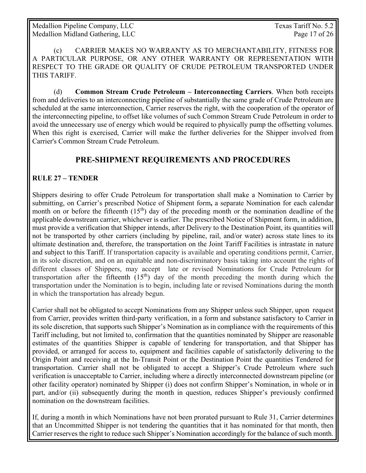Medallion Pipeline Company, LLC Texas Tariff No. 5.2 Medallion Midland Gathering, LLC Page 17 of 26

 (c) CARRIER MAKES NO WARRANTY AS TO MERCHANTABILITY, FITNESS FOR A PARTICULAR PURPOSE, OR ANY OTHER WARRANTY OR REPRESENTATION WITH RESPECT TO THE GRADE OR QUALITY OF CRUDE PETROLEUM TRANSPORTED UNDER THIS TARIFF.

 (d) **Common Stream Crude Petroleum – Interconnecting Carriers**. When both receipts from and deliveries to an interconnecting pipeline of substantially the same grade of Crude Petroleum are scheduled at the same interconnection, Carrier reserves the right, with the cooperation of the operator of the interconnecting pipeline, to offset like volumes of such Common Stream Crude Petroleum in order to avoid the unnecessary use of energy which would be required to physically pump the offsetting volumes. When this right is exercised, Carrier will make the further deliveries for the Shipper involved from Carrier's Common Stream Crude Petroleum.

### **PRE-SHIPMENT REQUIREMENTS AND PROCEDURES**

### **RULE 27 – TENDER**

Shippers desiring to offer Crude Petroleum for transportation shall make a Nomination to Carrier by submitting, on Carrier's prescribed Notice of Shipment form**,** a separate Nomination for each calendar month on or before the fifteenth  $(15<sup>th</sup>)$  day of the preceding month or the nomination deadline of the applicable downstream carrier, whichever is earlier. The prescribed Notice of Shipment form, in addition, must provide a verification that Shipper intends, after Delivery to the Destination Point, its quantities will not be transported by other carriers (including by pipeline, rail, and/or water) across state lines to its ultimate destination and, therefore, the transportation on the Joint Tariff Facilities is intrastate in nature and subject to this Tariff. If transportation capacity is available and operating conditions permit, Carrier, in its sole discretion, and on an equitable and non-discriminatory basis taking into account the rights of different classes of Shippers, may accept late or revised Nominations for Crude Petroleum for transportation after the fifteenth  $(15<sup>th</sup>)$  day of the month preceding the month during which the transportation under the Nomination is to begin, including late or revised Nominations during the month in which the transportation has already begun.

Carrier shall not be obligated to accept Nominations from any Shipper unless such Shipper, upon request from Carrier, provides written third-party verification, in a form and substance satisfactory to Carrier in its sole discretion, that supports such Shipper's Nomination as in compliance with the requirements of this Tariff including, but not limited to, confirmation that the quantities nominated by Shipper are reasonable estimates of the quantities Shipper is capable of tendering for transportation, and that Shipper has provided, or arranged for access to, equipment and facilities capable of satisfactorily delivering to the Origin Point and receiving at the In-Transit Point or the Destination Point the quantities Tendered for transportation. Carrier shall not be obligated to accept a Shipper's Crude Petroleum where such verification is unacceptable to Carrier, including where a directly interconnected downstream pipeline (or other facility operator) nominated by Shipper (i) does not confirm Shipper's Nomination, in whole or in part, and/or (ii) subsequently during the month in question, reduces Shipper's previously confirmed nomination on the downstream facilities.

If, during a month in which Nominations have not been prorated pursuant to Rule 31, Carrier determines that an Uncommitted Shipper is not tendering the quantities that it has nominated for that month, then Carrier reserves the right to reduce such Shipper's Nomination accordingly for the balance of such month.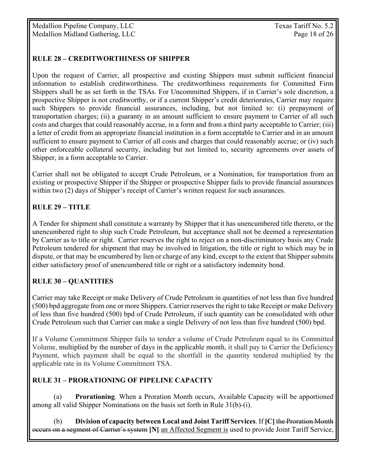Medallion Pipeline Company, LLC Texas Tariff No. 5.2 Medallion Midland Gathering, LLC Page 18 of 26

### **RULE 28 – CREDITWORTHINESS OF SHIPPER**

Upon the request of Carrier, all prospective and existing Shippers must submit sufficient financial information to establish creditworthiness. The creditworthiness requirements for Committed Firm Shippers shall be as set forth in the TSAs. For Uncommitted Shippers, if in Carrier's sole discretion, a prospective Shipper is not creditworthy, or if a current Shipper's credit deteriorates, Carrier may require such Shippers to provide financial assurances, including, but not limited to: (i) prepayment of transportation charges; (ii) a guaranty in an amount sufficient to ensure payment to Carrier of all such costs and charges that could reasonably accrue, in a form and from a third party acceptable to Carrier; (iii) a letter of credit from an appropriate financial institution in a form acceptable to Carrier and in an amount sufficient to ensure payment to Carrier of all costs and charges that could reasonably accrue; or (iv) such other enforceable collateral security, including but not limited to, security agreements over assets of Shipper, in a form acceptable to Carrier.

Carrier shall not be obligated to accept Crude Petroleum, or a Nomination, for transportation from an existing or prospective Shipper if the Shipper or prospective Shipper fails to provide financial assurances within two (2) days of Shipper's receipt of Carrier's written request for such assurances.

### **RULE 29 – TITLE**

A Tender for shipment shall constitute a warranty by Shipper that it has unencumbered title thereto, or the unencumbered right to ship such Crude Petroleum, but acceptance shall not be deemed a representation by Carrier as to title or right. Carrier reserves the right to reject on a non-discriminatory basis any Crude Petroleum tendered for shipment that may be involved in litigation, the title or right to which may be in dispute, or that may be encumbered by lien or charge of any kind, except to the extent that Shipper submits either satisfactory proof of unencumbered title or right or a satisfactory indemnity bond.

### **RULE 30 – QUANTITIES**

Carrier may take Receipt or make Delivery of Crude Petroleum in quantities of not less than five hundred (500) bpd aggregate from one or more Shippers. Carrier reserves the right to take Receipt or make Delivery of less than five hundred (500) bpd of Crude Petroleum, if such quantity can be consolidated with other Crude Petroleum such that Carrier can make a single Delivery of not less than five hundred (500) bpd.

If a Volume Commitment Shipper fails to tender a volume of Crude Petroleum equal to its Committed Volume, multiplied by the number of days in the applicable month, it shall pay to Carrier the Deficiency Payment, which payment shall be equal to the shortfall in the quantity tendered multiplied by the applicable rate in its Volume Commitment TSA.

### **RULE 31 – PRORATIONING OF PIPELINE CAPACITY**

 (a) **Prorationing**. When a Proration Month occurs, Available Capacity will be apportioned among all valid Shipper Nominations on the basis set forth in Rule 31(b)-(i).

(b) **Division of capacity between Local and Joint Tariff Services**. If **[C]** the Proration Month occurs on a segment of Carrier's system **[N]** an Affected Segment is used to provide Joint Tariff Service,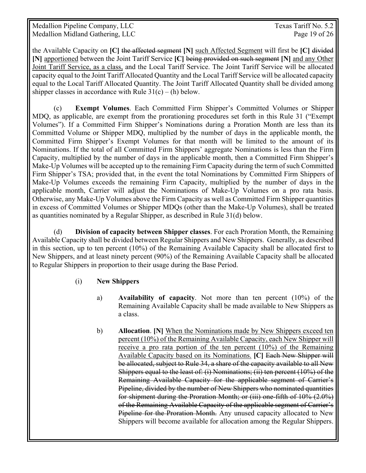the Available Capacity on **[C]** the affected segment **[N]** such Affected Segment will first be **[C]** divided **[N]** apportioned between the Joint Tariff Service **[C]** being provided on such segment **[N]** and any Other Joint Tariff Service, as a class, and the Local Tariff Service. The Joint Tariff Service will be allocated capacity equal to the Joint Tariff Allocated Quantity and the Local Tariff Service will be allocated capacity equal to the Local Tariff Allocated Quantity. The Joint Tariff Allocated Quantity shall be divided among shipper classes in accordance with Rule  $31(c) - (h)$  below.

(c) **Exempt Volumes**. Each Committed Firm Shipper's Committed Volumes or Shipper MDQ, as applicable, are exempt from the prorationing procedures set forth in this Rule 31 ("Exempt Volumes"). If a Committed Firm Shipper's Nominations during a Proration Month are less than its Committed Volume or Shipper MDQ, multiplied by the number of days in the applicable month, the Committed Firm Shipper's Exempt Volumes for that month will be limited to the amount of its Nominations. If the total of all Committed Firm Shippers' aggregate Nominations is less than the Firm Capacity, multiplied by the number of days in the applicable month, then a Committed Firm Shipper's Make-Up Volumes will be accepted up to the remaining Firm Capacity during the term of such Committed Firm Shipper's TSA; provided that, in the event the total Nominations by Committed Firm Shippers of Make-Up Volumes exceeds the remaining Firm Capacity, multiplied by the number of days in the applicable month, Carrier will adjust the Nominations of Make-Up Volumes on a pro rata basis. Otherwise, any Make-Up Volumes above the Firm Capacity as well as Committed Firm Shipper quantities in excess of Committed Volumes or Shipper MDQs (other than the Make-Up Volumes), shall be treated as quantities nominated by a Regular Shipper, as described in Rule 31(d) below.

 (d) **Division of capacity between Shipper classes**. For each Proration Month, the Remaining Available Capacity shall be divided between Regular Shippers and New Shippers. Generally, as described in this section, up to ten percent (10%) of the Remaining Available Capacity shall be allocated first to New Shippers, and at least ninety percent (90%) of the Remaining Available Capacity shall be allocated to Regular Shippers in proportion to their usage during the Base Period.

### (i) **New Shippers**

- a) **Availability of capacity**. Not more than ten percent (10%) of the Remaining Available Capacity shall be made available to New Shippers as a class.
- b) **Allocation**. **[N]** When the Nominations made by New Shippers exceed ten percent (10%) of the Remaining Available Capacity, each New Shipper will receive a pro rata portion of the ten percent (10%) of the Remaining Available Capacity based on its Nominations. **[C]** Each New Shipper will be allocated, subject to Rule 34, a share of the capacity available to all New Shippers equal to the least of: (i) Nominations; (ii) ten percent (10%) of the Remaining Available Capacity for the applicable segment of Carrier's Pipeline, divided by the number of New Shippers who nominated quantities for shipment during the Proration Month; or (iii) one-fifth of 10% (2.0%) of the Remaining Available Capacity of the applicable segment of Carrier's Pipeline for the Proration Month. Any unused capacity allocated to New Shippers will become available for allocation among the Regular Shippers.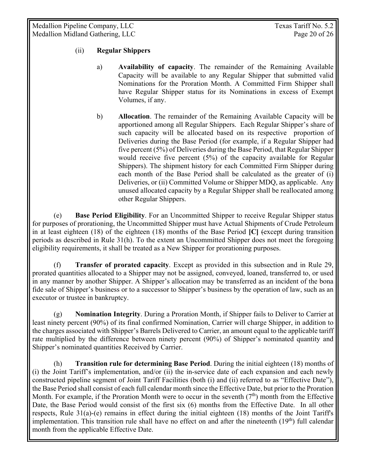Medallion Pipeline Company, LLC Texas Tariff No. 5.2 Medallion Midland Gathering, LLC Page 20 of 26

#### (ii) **Regular Shippers**

- a) **Availability of capacity**. The remainder of the Remaining Available Capacity will be available to any Regular Shipper that submitted valid Nominations for the Proration Month. A Committed Firm Shipper shall have Regular Shipper status for its Nominations in excess of Exempt Volumes, if any.
- b) **Allocation**. The remainder of the Remaining Available Capacity will be apportioned among all Regular Shippers. Each Regular Shipper's share of such capacity will be allocated based on its respective proportion of Deliveries during the Base Period (for example, if a Regular Shipper had five percent (5%) of Deliveries during the Base Period, that Regular Shipper would receive five percent (5%) of the capacity available for Regular Shippers). The shipment history for each Committed Firm Shipper during each month of the Base Period shall be calculated as the greater of (i) Deliveries, or (ii) Committed Volume or Shipper MDQ, as applicable. Any unused allocated capacity by a Regular Shipper shall be reallocated among other Regular Shippers.

 (e) **Base Period Eligibility**. For an Uncommitted Shipper to receive Regular Shipper status for purposes of prorationing, the Uncommitted Shipper must have Actual Shipments of Crude Petroleum in at least eighteen (18) of the eighteen (18) months of the Base Period **[C]** (except during transition periods as described in Rule 31(h). To the extent an Uncommitted Shipper does not meet the foregoing eligibility requirements, it shall be treated as a New Shipper for prorationing purposes.

 (f) **Transfer of prorated capacity**. Except as provided in this subsection and in Rule 29, prorated quantities allocated to a Shipper may not be assigned, conveyed, loaned, transferred to, or used in any manner by another Shipper. A Shipper's allocation may be transferred as an incident of the bona fide sale of Shipper's business or to a successor to Shipper's business by the operation of law, such as an executor or trustee in bankruptcy.

 (g) **Nomination Integrity**. During a Proration Month, if Shipper fails to Deliver to Carrier at least ninety percent (90%) of its final confirmed Nomination, Carrier will charge Shipper, in addition to the charges associated with Shipper's Barrels Delivered to Carrier, an amount equal to the applicable tariff rate multiplied by the difference between ninety percent (90%) of Shipper's nominated quantity and Shipper's nominated quantities Received by Carrier.

(h) **Transition rule for determining Base Period**. During the initial eighteen (18) months of (i) the Joint Tariff's implementation, and/or (ii) the in-service date of each expansion and each newly constructed pipeline segment of Joint Tariff Facilities (both (i) and (ii) referred to as "Effective Date"), the Base Period shall consist of each full calendar month since the Effective Date, but prior to the Proration Month. For example, if the Proration Month were to occur in the seventh  $(7<sup>th</sup>)$  month from the Effective Date, the Base Period would consist of the first six (6) months from the Effective Date. In all other respects, Rule 31(a)-(e) remains in effect during the initial eighteen (18) months of the Joint Tariff's implementation. This transition rule shall have no effect on and after the nineteenth (19<sup>th</sup>) full calendar month from the applicable Effective Date.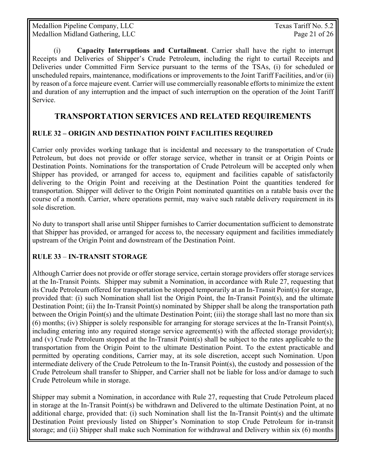Medallion Pipeline Company, LLC Texas Tariff No. 5.2 Medallion Midland Gathering, LLC Page 21 of 26

(i) **Capacity Interruptions and Curtailment**. Carrier shall have the right to interrupt Receipts and Deliveries of Shipper's Crude Petroleum, including the right to curtail Receipts and Deliveries under Committed Firm Service pursuant to the terms of the TSAs, (i) for scheduled or unscheduled repairs, maintenance, modifications or improvements to the Joint Tariff Facilities, and/or (ii) by reason of a force majeure event. Carrier will use commercially reasonable efforts to minimize the extent and duration of any interruption and the impact of such interruption on the operation of the Joint Tariff Service.

# **TRANSPORTATION SERVICES AND RELATED REQUIREMENTS**

### **RULE 32 – ORIGIN AND DESTINATION POINT FACILITIES REQUIRED**

Carrier only provides working tankage that is incidental and necessary to the transportation of Crude Petroleum, but does not provide or offer storage service, whether in transit or at Origin Points or Destination Points. Nominations for the transportation of Crude Petroleum will be accepted only when Shipper has provided, or arranged for access to, equipment and facilities capable of satisfactorily delivering to the Origin Point and receiving at the Destination Point the quantities tendered for transportation. Shipper will deliver to the Origin Point nominated quantities on a ratable basis over the course of a month. Carrier, where operations permit, may waive such ratable delivery requirement in its sole discretion.

No duty to transport shall arise until Shipper furnishes to Carrier documentation sufficient to demonstrate that Shipper has provided, or arranged for access to, the necessary equipment and facilities immediately upstream of the Origin Point and downstream of the Destination Point.

### **RULE 33** – **IN-TRANSIT STORAGE**

Although Carrier does not provide or offer storage service, certain storage providers offer storage services at the In-Transit Points. Shipper may submit a Nomination, in accordance with Rule 27, requesting that its Crude Petroleum offered for transportation be stopped temporarily at an In-Transit Point(s) for storage, provided that: (i) such Nomination shall list the Origin Point, the In-Transit Point(s), and the ultimate Destination Point; (ii) the In-Transit Point(s) nominated by Shipper shall be along the transportation path between the Origin Point(s) and the ultimate Destination Point; (iii) the storage shall last no more than six (6) months; (iv) Shipper is solely responsible for arranging for storage services at the In-Transit Point(s), including entering into any required storage service agreement(s) with the affected storage provider(s); and (v) Crude Petroleum stopped at the In-Transit Point(s) shall be subject to the rates applicable to the transportation from the Origin Point to the ultimate Destination Point. To the extent practicable and permitted by operating conditions, Carrier may, at its sole discretion, accept such Nomination. Upon intermediate delivery of the Crude Petroleum to the In-Transit Point(s), the custody and possession of the Crude Petroleum shall transfer to Shipper, and Carrier shall not be liable for loss and/or damage to such Crude Petroleum while in storage.

Shipper may submit a Nomination, in accordance with Rule 27, requesting that Crude Petroleum placed in storage at the In-Transit Point(s) be withdrawn and Delivered to the ultimate Destination Point, at no additional charge, provided that: (i) such Nomination shall list the In-Transit Point(s) and the ultimate Destination Point previously listed on Shipper's Nomination to stop Crude Petroleum for in-transit storage; and (ii) Shipper shall make such Nomination for withdrawal and Delivery within six (6) months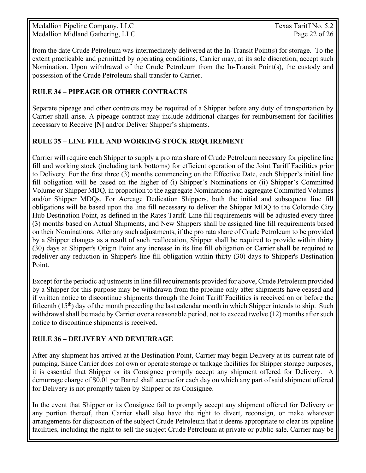Medallion Pipeline Company, LLC Texas Tariff No. 5.2 Medallion Midland Gathering, LLC Page 22 of 26

from the date Crude Petroleum was intermediately delivered at the In-Transit Point(s) for storage. To the extent practicable and permitted by operating conditions, Carrier may, at its sole discretion, accept such Nomination. Upon withdrawal of the Crude Petroleum from the In-Transit Point(s), the custody and possession of the Crude Petroleum shall transfer to Carrier.

### **RULE 34** *–* **PIPEAGE OR OTHER CONTRACTS**

Separate pipeage and other contracts may be required of a Shipper before any duty of transportation by Carrier shall arise. A pipeage contract may include additional charges for reimbursement for facilities necessary to Receive **[N]** and/or Deliver Shipper's shipments.

### **RULE 35 – LINE FILL AND WORKING STOCK REQUIREMENT**

Carrier will require each Shipper to supply a pro rata share of Crude Petroleum necessary for pipeline line fill and working stock (including tank bottoms) for efficient operation of the Joint Tariff Facilities prior to Delivery. For the first three (3) months commencing on the Effective Date, each Shipper's initial line fill obligation will be based on the higher of (i) Shipper's Nominations or (ii) Shipper's Committed Volume or Shipper MDQ, in proportion to the aggregate Nominations and aggregate Committed Volumes and/or Shipper MDQs. For Acreage Dedication Shippers, both the initial and subsequent line fill obligations will be based upon the line fill necessary to deliver the Shipper MDQ to the Colorado City Hub Destination Point, as defined in the Rates Tariff. Line fill requirements will be adjusted every three (3) months based on Actual Shipments, and New Shippers shall be assigned line fill requirements based on their Nominations. After any such adjustments, if the pro rata share of Crude Petroleum to be provided by a Shipper changes as a result of such reallocation, Shipper shall be required to provide within thirty (30) days at Shipper's Origin Point any increase in its line fill obligation or Carrier shall be required to redeliver any reduction in Shipper's line fill obligation within thirty (30) days to Shipper's Destination Point.

Except for the periodic adjustments in line fill requirements provided for above, Crude Petroleum provided by a Shipper for this purpose may be withdrawn from the pipeline only after shipments have ceased and if written notice to discontinue shipments through the Joint Tariff Facilities is received on or before the fifteenth  $(15<sup>th</sup>)$  day of the month preceding the last calendar month in which Shipper intends to ship. Such withdrawal shall be made by Carrier over a reasonable period, not to exceed twelve (12) months after such notice to discontinue shipments is received.

### **RULE 36 – DELIVERY AND DEMURRAGE**

After any shipment has arrived at the Destination Point, Carrier may begin Delivery at its current rate of pumping. Since Carrier does not own or operate storage or tankage facilities for Shipper storage purposes, it is essential that Shipper or its Consignee promptly accept any shipment offered for Delivery. A demurrage charge of \$0.01 per Barrel shall accrue for each day on which any part of said shipment offered for Delivery is not promptly taken by Shipper or its Consignee.

In the event that Shipper or its Consignee fail to promptly accept any shipment offered for Delivery or any portion thereof, then Carrier shall also have the right to divert, reconsign, or make whatever arrangements for disposition of the subject Crude Petroleum that it deems appropriate to clear its pipeline facilities, including the right to sell the subject Crude Petroleum at private or public sale. Carrier may be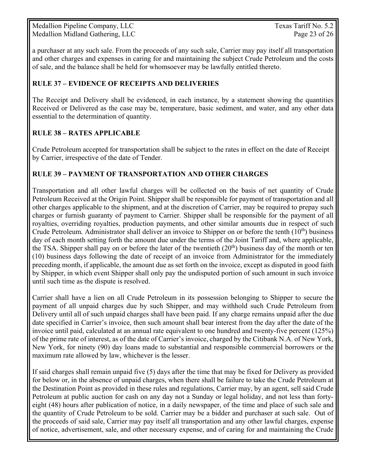Medallion Pipeline Company, LLC Texas Tariff No. 5.2 Medallion Midland Gathering, LLC Page 23 of 26

a purchaser at any such sale. From the proceeds of any such sale, Carrier may pay itself all transportation and other charges and expenses in caring for and maintaining the subject Crude Petroleum and the costs of sale, and the balance shall be held for whomsoever may be lawfully entitled thereto.

### **RULE 37 – EVIDENCE OF RECEIPTS AND DELIVERIES**

The Receipt and Delivery shall be evidenced, in each instance, by a statement showing the quantities Received or Delivered as the case may be, temperature, basic sediment, and water, and any other data essential to the determination of quantity.

### **RULE 38 – RATES APPLICABLE**

Crude Petroleum accepted for transportation shall be subject to the rates in effect on the date of Receipt by Carrier, irrespective of the date of Tender.

### **RULE 39 – PAYMENT OF TRANSPORTATION AND OTHER CHARGES**

Transportation and all other lawful charges will be collected on the basis of net quantity of Crude Petroleum Received at the Origin Point. Shipper shall be responsible for payment of transportation and all other charges applicable to the shipment, and at the discretion of Carrier, may be required to prepay such charges or furnish guaranty of payment to Carrier. Shipper shall be responsible for the payment of all royalties, overriding royalties, production payments, and other similar amounts due in respect of such Crude Petroleum. Administrator shall deliver an invoice to Shipper on or before the tenth (10<sup>th</sup>) business day of each month setting forth the amount due under the terms of the Joint Tariff and, where applicable, the TSA. Shipper shall pay on or before the later of the twentieth  $(20<sup>th</sup>)$  business day of the month or ten (10) business days following the date of receipt of an invoice from Administrator for the immediately preceding month, if applicable, the amount due as set forth on the invoice, except as disputed in good faith by Shipper, in which event Shipper shall only pay the undisputed portion of such amount in such invoice until such time as the dispute is resolved.

Carrier shall have a lien on all Crude Petroleum in its possession belonging to Shipper to secure the payment of all unpaid charges due by such Shipper, and may withhold such Crude Petroleum from Delivery until all of such unpaid charges shall have been paid. If any charge remains unpaid after the due date specified in Carrier's invoice, then such amount shall bear interest from the day after the date of the invoice until paid, calculated at an annual rate equivalent to one hundred and twenty-five percent (125%) of the prime rate of interest, as of the date of Carrier's invoice, charged by the Citibank N.A. of New York, New York, for ninety (90) day loans made to substantial and responsible commercial borrowers or the maximum rate allowed by law, whichever is the lesser.

If said charges shall remain unpaid five (5) days after the time that may be fixed for Delivery as provided for below or, in the absence of unpaid charges, when there shall be failure to take the Crude Petroleum at the Destination Point as provided in these rules and regulations, Carrier may, by an agent, sell said Crude Petroleum at public auction for cash on any day not a Sunday or legal holiday, and not less than fortyeight (48) hours after publication of notice, in a daily newspaper, of the time and place of such sale and the quantity of Crude Petroleum to be sold. Carrier may be a bidder and purchaser at such sale. Out of the proceeds of said sale, Carrier may pay itself all transportation and any other lawful charges, expense of notice, advertisement, sale, and other necessary expense, and of caring for and maintaining the Crude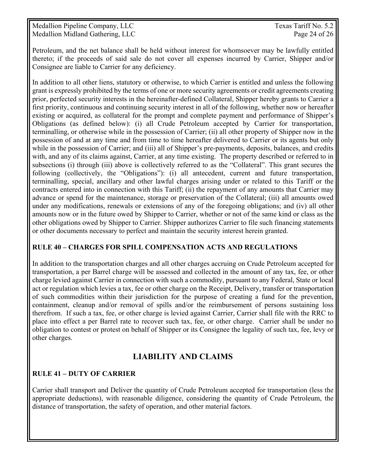Medallion Pipeline Company, LLC Texas Tariff No. 5.2 Medallion Midland Gathering, LLC Page 24 of 26

Petroleum, and the net balance shall be held without interest for whomsoever may be lawfully entitled thereto; if the proceeds of said sale do not cover all expenses incurred by Carrier, Shipper and/or Consignee are liable to Carrier for any deficiency.

In addition to all other liens, statutory or otherwise, to which Carrier is entitled and unless the following grant is expressly prohibited by the terms of one or more security agreements or credit agreements creating prior, perfected security interests in the hereinafter-defined Collateral, Shipper hereby grants to Carrier a first priority, continuous and continuing security interest in all of the following, whether now or hereafter existing or acquired, as collateral for the prompt and complete payment and performance of Shipper's Obligations (as defined below): (i) all Crude Petroleum accepted by Carrier for transportation, terminalling, or otherwise while in the possession of Carrier; (ii) all other property of Shipper now in the possession of and at any time and from time to time hereafter delivered to Carrier or its agents but only while in the possession of Carrier; and (iii) all of Shipper's pre-payments, deposits, balances, and credits with, and any of its claims against, Carrier, at any time existing. The property described or referred to in subsections (i) through (iii) above is collectively referred to as the "Collateral". This grant secures the following (collectively, the "Obligations"): (i) all antecedent, current and future transportation, terminalling, special, ancillary and other lawful charges arising under or related to this Tariff or the contracts entered into in connection with this Tariff; (ii) the repayment of any amounts that Carrier may advance or spend for the maintenance, storage or preservation of the Collateral; (iii) all amounts owed under any modifications, renewals or extensions of any of the foregoing obligations; and (iv) all other amounts now or in the future owed by Shipper to Carrier, whether or not of the same kind or class as the other obligations owed by Shipper to Carrier. Shipper authorizes Carrier to file such financing statements or other documents necessary to perfect and maintain the security interest herein granted.

### **RULE 40 – CHARGES FOR SPILL COMPENSATION ACTS AND REGULATIONS**

In addition to the transportation charges and all other charges accruing on Crude Petroleum accepted for transportation, a per Barrel charge will be assessed and collected in the amount of any tax, fee, or other charge levied against Carrier in connection with such a commodity, pursuant to any Federal, State or local act or regulation which levies a tax, fee or other charge on the Receipt, Delivery, transfer or transportation of such commodities within their jurisdiction for the purpose of creating a fund for the prevention, containment, cleanup and/or removal of spills and/or the reimbursement of persons sustaining loss therefrom. If such a tax, fee, or other charge is levied against Carrier, Carrier shall file with the RRC to place into effect a per Barrel rate to recover such tax, fee, or other charge. Carrier shall be under no obligation to contest or protest on behalf of Shipper or its Consignee the legality of such tax, fee, levy or other charges.

### **LIABILITY AND CLAIMS**

### **RULE 41 – DUTY OF CARRIER**

Carrier shall transport and Deliver the quantity of Crude Petroleum accepted for transportation (less the appropriate deductions), with reasonable diligence, considering the quantity of Crude Petroleum, the distance of transportation, the safety of operation, and other material factors.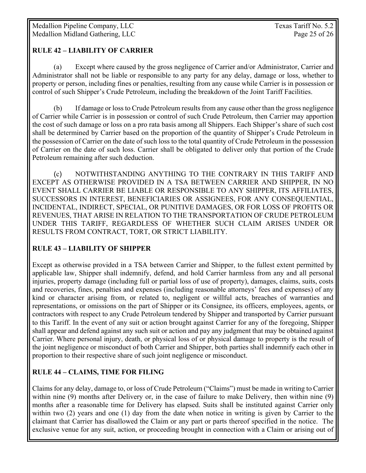### **RULE 42 – LIABILITY OF CARRIER**

 (a) Except where caused by the gross negligence of Carrier and/or Administrator, Carrier and Administrator shall not be liable or responsible to any party for any delay, damage or loss, whether to property or person, including fines or penalties, resulting from any cause while Carrier is in possession or control of such Shipper's Crude Petroleum, including the breakdown of the Joint Tariff Facilities.

 (b) If damage or loss to Crude Petroleum results from any cause other than the gross negligence of Carrier while Carrier is in possession or control of such Crude Petroleum, then Carrier may apportion the cost of such damage or loss on a pro rata basis among all Shippers. Each Shipper's share of such cost shall be determined by Carrier based on the proportion of the quantity of Shipper's Crude Petroleum in the possession of Carrier on the date of such loss to the total quantity of Crude Petroleum in the possession of Carrier on the date of such loss. Carrier shall be obligated to deliver only that portion of the Crude Petroleum remaining after such deduction.

 (c) NOTWITHSTANDING ANYTHING TO THE CONTRARY IN THIS TARIFF AND EXCEPT AS OTHERWISE PROVIDED IN A TSA BETWEEN CARRIER AND SHIPPER, IN NO EVENT SHALL CARRIER BE LIABLE OR RESPONSIBLE TO ANY SHIPPER, ITS AFFILIATES, SUCCESSORS IN INTEREST, BENEFICIARIES OR ASSIGNEES, FOR ANY CONSEQUENTIAL, INCIDENTAL, INDIRECT, SPECIAL, OR PUNITIVE DAMAGES, OR FOR LOSS OF PROFITS OR REVENUES, THAT ARISE IN RELATION TO THE TRANSPORTATION OF CRUDE PETROLEUM UNDER THIS TARIFF, REGARDLESS OF WHETHER SUCH CLAIM ARISES UNDER OR RESULTS FROM CONTRACT, TORT, OR STRICT LIABILITY.

### **RULE 43 – LIABILITY OF SHIPPER**

Except as otherwise provided in a TSA between Carrier and Shipper, to the fullest extent permitted by applicable law, Shipper shall indemnify, defend, and hold Carrier harmless from any and all personal injuries, property damage (including full or partial loss of use of property), damages, claims, suits, costs and recoveries, fines, penalties and expenses (including reasonable attorneys' fees and expenses) of any kind or character arising from, or related to, negligent or willful acts, breaches of warranties and representations, or omissions on the part of Shipper or its Consignee, its officers, employees, agents, or contractors with respect to any Crude Petroleum tendered by Shipper and transported by Carrier pursuant to this Tariff. In the event of any suit or action brought against Carrier for any of the foregoing, Shipper shall appear and defend against any such suit or action and pay any judgment that may be obtained against Carrier. Where personal injury, death, or physical loss of or physical damage to property is the result of the joint negligence or misconduct of both Carrier and Shipper, both parties shall indemnify each other in proportion to their respective share of such joint negligence or misconduct.

### **RULE 44 – CLAIMS, TIME FOR FILING**

Claims for any delay, damage to, or loss of Crude Petroleum ("Claims") must be made in writing to Carrier within nine (9) months after Delivery or, in the case of failure to make Delivery, then within nine (9) months after a reasonable time for Delivery has elapsed. Suits shall be instituted against Carrier only within two (2) years and one (1) day from the date when notice in writing is given by Carrier to the claimant that Carrier has disallowed the Claim or any part or parts thereof specified in the notice. The exclusive venue for any suit, action, or proceeding brought in connection with a Claim or arising out of